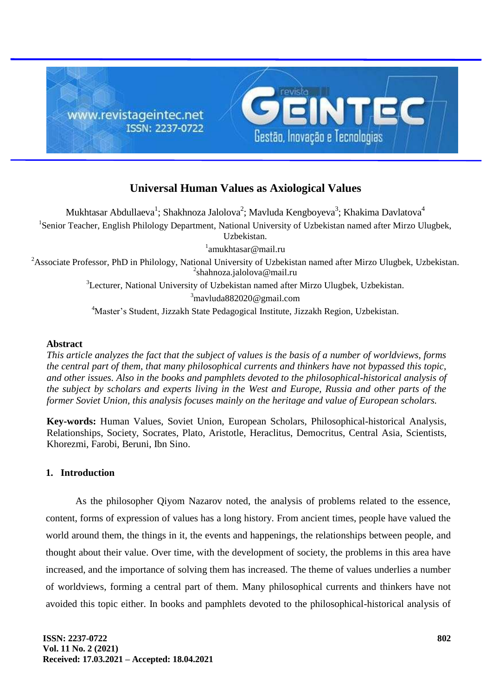

# **Universal Human Values as Axiological Values**

Mukhtasar Abdullaeva $^1$ ; Shakhnoza Jalolova $^2$ ; Mavluda Kengboyeva $^3$ ; Khakima Davlatova $^4$ <sup>1</sup>Senior Teacher, English Philology Department, National University of Uzbekistan named after Mirzo Ulugbek, Uzbekistan. <sup>1</sup>amukhtasar@mail.ru <sup>2</sup>Associate Professor, PhD in Philology, National University of Uzbekistan named after Mirzo Ulugbek, Uzbekistan. <sup>2</sup>shahnoza.jalolova@mail.ru <sup>3</sup>Lecturer, National University of Uzbekistan named after Mirzo Ulugbek, Uzbekistan.  $3$ mavluda882020@gmail.com

<sup>4</sup>Master's Student, Jizzakh State Pedagogical Institute, Jizzakh Region, Uzbekistan.

## **Abstract**

*This article analyzes the fact that the subject of values is the basis of a number of worldviews, forms the central part of them, that many philosophical currents and thinkers have not bypassed this topic, and other issues. Also in the books and pamphlets devoted to the philosophical-historical analysis of the subject by scholars and experts living in the West and Europe, Russia and other parts of the former Soviet Union, this analysis focuses mainly on the heritage and value of European scholars.*

**Key-words:** Human Values, Soviet Union, European Scholars, Philosophical-historical Analysis, Relationships, Society, Socrates, Plato, Aristotle, Heraclitus, Democritus, Central Asia, Scientists, Khorezmi, Farobi, Beruni, Ibn Sino.

## **1. Introduction**

As the philosopher Qiyom Nazarov noted, the analysis of problems related to the essence, content, forms of expression of values has a long history. From ancient times, people have valued the world around them, the things in it, the events and happenings, the relationships between people, and thought about their value. Over time, with the development of society, the problems in this area have increased, and the importance of solving them has increased. The theme of values underlies a number of worldviews, forming a central part of them. Many philosophical currents and thinkers have not avoided this topic either. In books and pamphlets devoted to the philosophical-historical analysis of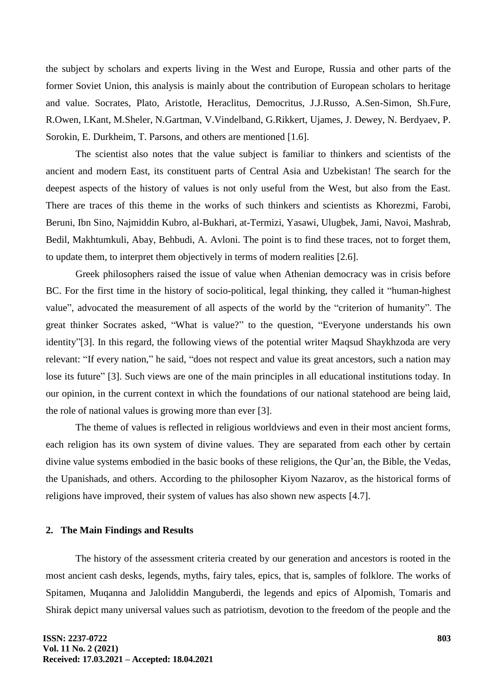the subject by scholars and experts living in the West and Europe, Russia and other parts of the former Soviet Union, this analysis is mainly about the contribution of European scholars to heritage and value. Socrates, Plato, Aristotle, Heraclitus, Democritus, J.J.Russo, A.Sen-Simon, Sh.Fure, R.Owen, I.Kant, M.Sheler, N.Gartman, V.Vindelband, G.Rikkert, Ujames, J. Dewey, N. Berdyaev, P. Sorokin, E. Durkheim, T. Parsons, and others are mentioned [1.6].

The scientist also notes that the value subject is familiar to thinkers and scientists of the ancient and modern East, its constituent parts of Central Asia and Uzbekistan! The search for the deepest aspects of the history of values is not only useful from the West, but also from the East. There are traces of this theme in the works of such thinkers and scientists as Khorezmi, Farobi, Beruni, Ibn Sino, Najmiddin Kubro, al-Bukhari, at-Termizi, Yasawi, Ulugbek, Jami, Navoi, Mashrab, Bedil, Makhtumkuli, Abay, Behbudi, A. Avloni. The point is to find these traces, not to forget them, to update them, to interpret them objectively in terms of modern realities [2.6].

Greek philosophers raised the issue of value when Athenian democracy was in crisis before BC. For the first time in the history of socio-political, legal thinking, they called it "human-highest value", advocated the measurement of all aspects of the world by the "criterion of humanity". The great thinker Socrates asked, "What is value?" to the question, "Everyone understands his own identity"[3]. In this regard, the following views of the potential writer Maqsud Shaykhzoda are very relevant: "If every nation," he said, "does not respect and value its great ancestors, such a nation may lose its future" [3]. Such views are one of the main principles in all educational institutions today. In our opinion, in the current context in which the foundations of our national statehood are being laid, the role of national values is growing more than ever [3].

The theme of values is reflected in religious worldviews and even in their most ancient forms, each religion has its own system of divine values. They are separated from each other by certain divine value systems embodied in the basic books of these religions, the Qur'an, the Bible, the Vedas, the Upanishads, and others. According to the philosopher Kiyom Nazarov, as the historical forms of religions have improved, their system of values has also shown new aspects [4.7].

#### **2. The Main Findings and Results**

The history of the assessment criteria created by our generation and ancestors is rooted in the most ancient cash desks, legends, myths, fairy tales, epics, that is, samples of folklore. The works of Spitamen, Muqanna and Jaloliddin Manguberdi, the legends and epics of Alpomish, Tomaris and Shirak depict many universal values such as patriotism, devotion to the freedom of the people and the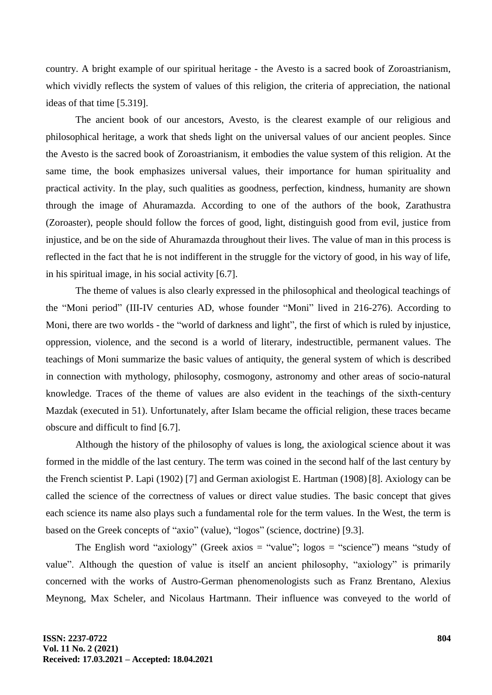country. A bright example of our spiritual heritage - the Avesto is a sacred book of Zoroastrianism, which vividly reflects the system of values of this religion, the criteria of appreciation, the national ideas of that time [5.319].

The ancient book of our ancestors, Avesto, is the clearest example of our religious and philosophical heritage, a work that sheds light on the universal values of our ancient peoples. Since the Avesto is the sacred book of Zoroastrianism, it embodies the value system of this religion. At the same time, the book emphasizes universal values, their importance for human spirituality and practical activity. In the play, such qualities as goodness, perfection, kindness, humanity are shown through the image of Ahuramazda. According to one of the authors of the book, Zarathustra (Zoroaster), people should follow the forces of good, light, distinguish good from evil, justice from injustice, and be on the side of Ahuramazda throughout their lives. The value of man in this process is reflected in the fact that he is not indifferent in the struggle for the victory of good, in his way of life, in his spiritual image, in his social activity [6.7].

The theme of values is also clearly expressed in the philosophical and theological teachings of the "Moni period" (III-IV centuries AD, whose founder "Moni" lived in 216-276). According to Moni, there are two worlds - the "world of darkness and light", the first of which is ruled by injustice, oppression, violence, and the second is a world of literary, indestructible, permanent values. The teachings of Moni summarize the basic values of antiquity, the general system of which is described in connection with mythology, philosophy, cosmogony, astronomy and other areas of socio-natural knowledge. Traces of the theme of values are also evident in the teachings of the sixth-century Mazdak (executed in 51). Unfortunately, after Islam became the official religion, these traces became obscure and difficult to find [6.7].

Although the history of the philosophy of values is long, the axiological science about it was formed in the middle of the last century. The term was coined in the second half of the last century by the French scientist P. Lapi (1902) [7] and German axiologist E. Hartman (1908) [8]. Axiology can be called the science of the correctness of values or direct value studies. The basic concept that gives each science its name also plays such a fundamental role for the term values. In the West, the term is based on the Greek concepts of "axio" (value), "logos" (science, doctrine) [9.3].

The English word "axiology" (Greek axios = "value";  $logos =$  "science") means "study of value". Although the question of value is itself an ancient philosophy, "axiology" is primarily concerned with the works of Austro-German phenomenologists such as Franz Brentano, Alexius Meynong, Max Scheler, and Nicolaus Hartmann. Their influence was conveyed to the world of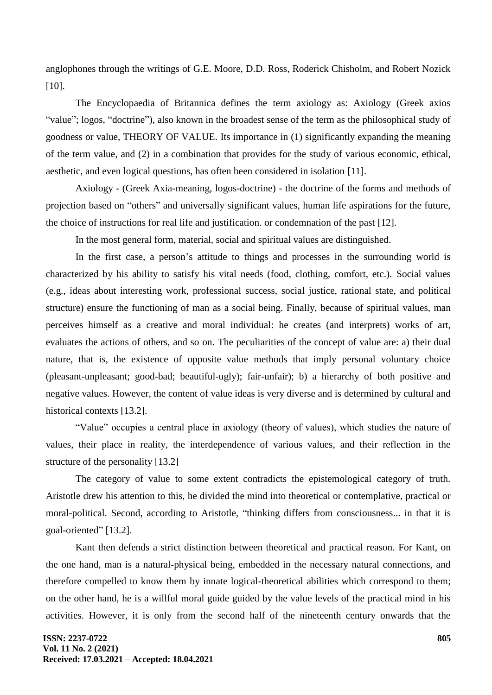anglophones through the writings of G.E. Moore, D.D. Ross, Roderick Chisholm, and Robert Nozick [10].

The Encyclopaedia of Britannica defines the term axiology as: Axiology (Greek axios "value"; logos, "doctrine"), also known in the broadest sense of the term as the philosophical study of goodness or value, THEORY OF VALUE. Its importance in (1) significantly expanding the meaning of the term value, and (2) in a combination that provides for the study of various economic, ethical, aesthetic, and even logical questions, has often been considered in isolation [11].

Axiology - (Greek Axia-meaning, logos-doctrine) - the doctrine of the forms and methods of projection based on "others" and universally significant values, human life aspirations for the future, the choice of instructions for real life and justification. or condemnation of the past [12].

In the most general form, material, social and spiritual values are distinguished.

In the first case, a person's attitude to things and processes in the surrounding world is characterized by his ability to satisfy his vital needs (food, clothing, comfort, etc.). Social values (e.g., ideas about interesting work, professional success, social justice, rational state, and political structure) ensure the functioning of man as a social being. Finally, because of spiritual values, man perceives himself as a creative and moral individual: he creates (and interprets) works of art, evaluates the actions of others, and so on. The peculiarities of the concept of value are: a) their dual nature, that is, the existence of opposite value methods that imply personal voluntary choice (pleasant-unpleasant; good-bad; beautiful-ugly); fair-unfair); b) a hierarchy of both positive and negative values. However, the content of value ideas is very diverse and is determined by cultural and historical contexts [13.2].

"Value" occupies a central place in axiology (theory of values), which studies the nature of values, their place in reality, the interdependence of various values, and their reflection in the structure of the personality [13.2]

The category of value to some extent contradicts the epistemological category of truth. Aristotle drew his attention to this, he divided the mind into theoretical or contemplative, practical or moral-political. Second, according to Aristotle, "thinking differs from consciousness... in that it is goal-oriented" [13.2].

Kant then defends a strict distinction between theoretical and practical reason. For Kant, on the one hand, man is a natural-physical being, embedded in the necessary natural connections, and therefore compelled to know them by innate logical-theoretical abilities which correspond to them; on the other hand, he is a willful moral guide guided by the value levels of the practical mind in his activities. However, it is only from the second half of the nineteenth century onwards that the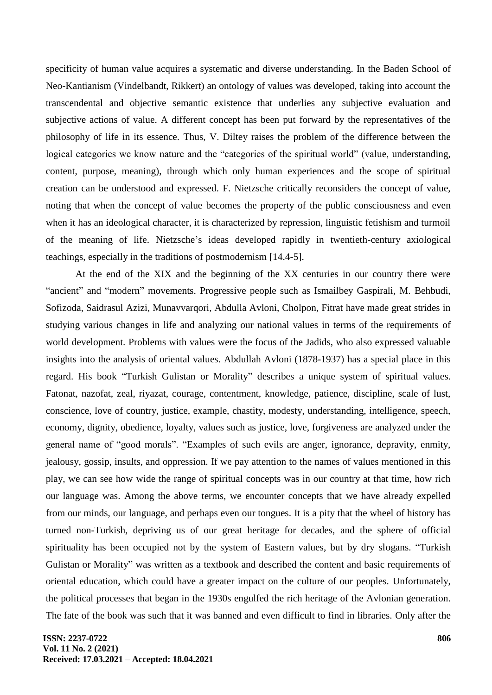specificity of human value acquires a systematic and diverse understanding. In the Baden School of Neo-Kantianism (Vindelbandt, Rikkert) an ontology of values was developed, taking into account the transcendental and objective semantic existence that underlies any subjective evaluation and subjective actions of value. A different concept has been put forward by the representatives of the philosophy of life in its essence. Thus, V. Diltey raises the problem of the difference between the logical categories we know nature and the "categories of the spiritual world" (value, understanding, content, purpose, meaning), through which only human experiences and the scope of spiritual creation can be understood and expressed. F. Nietzsche critically reconsiders the concept of value, noting that when the concept of value becomes the property of the public consciousness and even when it has an ideological character, it is characterized by repression, linguistic fetishism and turmoil of the meaning of life. Nietzsche's ideas developed rapidly in twentieth-century axiological teachings, especially in the traditions of postmodernism [14.4-5].

At the end of the XIX and the beginning of the XX centuries in our country there were "ancient" and "modern" movements. Progressive people such as Ismailbey Gaspirali, M. Behbudi, Sofizoda, Saidrasul Azizi, Munavvarqori, Abdulla Avloni, Cholpon, Fitrat have made great strides in studying various changes in life and analyzing our national values in terms of the requirements of world development. Problems with values were the focus of the Jadids, who also expressed valuable insights into the analysis of oriental values. Abdullah Avloni (1878-1937) has a special place in this regard. His book "Turkish Gulistan or Morality" describes a unique system of spiritual values. Fatonat, nazofat, zeal, riyazat, courage, contentment, knowledge, patience, discipline, scale of lust, conscience, love of country, justice, example, chastity, modesty, understanding, intelligence, speech, economy, dignity, obedience, loyalty, values such as justice, love, forgiveness are analyzed under the general name of "good morals". "Examples of such evils are anger, ignorance, depravity, enmity, jealousy, gossip, insults, and oppression. If we pay attention to the names of values mentioned in this play, we can see how wide the range of spiritual concepts was in our country at that time, how rich our language was. Among the above terms, we encounter concepts that we have already expelled from our minds, our language, and perhaps even our tongues. It is a pity that the wheel of history has turned non-Turkish, depriving us of our great heritage for decades, and the sphere of official spirituality has been occupied not by the system of Eastern values, but by dry slogans. "Turkish Gulistan or Morality" was written as a textbook and described the content and basic requirements of oriental education, which could have a greater impact on the culture of our peoples. Unfortunately, the political processes that began in the 1930s engulfed the rich heritage of the Avlonian generation. The fate of the book was such that it was banned and even difficult to find in libraries. Only after the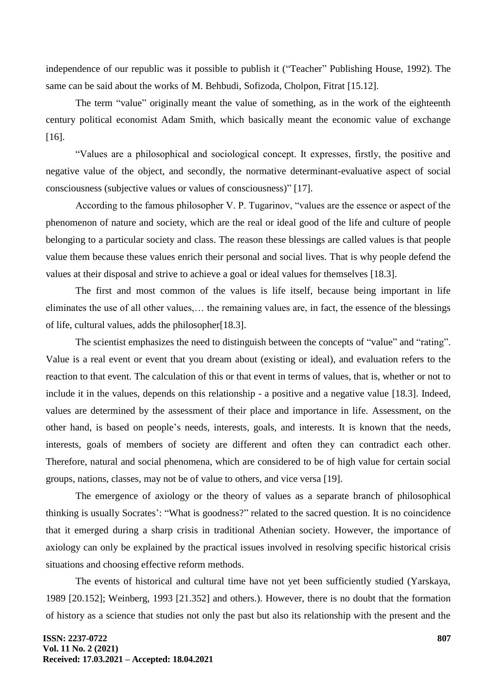independence of our republic was it possible to publish it ("Teacher" Publishing House, 1992). The same can be said about the works of M. Behbudi, Sofizoda, Cholpon, Fitrat [15.12].

The term "value" originally meant the value of something, as in the work of the eighteenth century political economist Adam Smith, which basically meant the economic value of exchange [16].

"Values are a philosophical and sociological concept. It expresses, firstly, the positive and negative value of the object, and secondly, the normative determinant-evaluative aspect of social consciousness (subjective values or values of consciousness)" [17].

According to the famous philosopher V. P. Tugarinov, "values are the essence or aspect of the phenomenon of nature and society, which are the real or ideal good of the life and culture of people belonging to a particular society and class. The reason these blessings are called values is that people value them because these values enrich their personal and social lives. That is why people defend the values at their disposal and strive to achieve a goal or ideal values for themselves [18.3].

The first and most common of the values is life itself, because being important in life eliminates the use of all other values,… the remaining values are, in fact, the essence of the blessings of life, cultural values, adds the philosopher[18.3].

The scientist emphasizes the need to distinguish between the concepts of "value" and "rating". Value is a real event or event that you dream about (existing or ideal), and evaluation refers to the reaction to that event. The calculation of this or that event in terms of values, that is, whether or not to include it in the values, depends on this relationship - a positive and a negative value [18.3]. Indeed, values are determined by the assessment of their place and importance in life. Assessment, on the other hand, is based on people's needs, interests, goals, and interests. It is known that the needs, interests, goals of members of society are different and often they can contradict each other. Therefore, natural and social phenomena, which are considered to be of high value for certain social groups, nations, classes, may not be of value to others, and vice versa [19].

The emergence of axiology or the theory of values as a separate branch of philosophical thinking is usually Socrates': "What is goodness?" related to the sacred question. It is no coincidence that it emerged during a sharp crisis in traditional Athenian society. However, the importance of axiology can only be explained by the practical issues involved in resolving specific historical crisis situations and choosing effective reform methods.

The events of historical and cultural time have not yet been sufficiently studied (Yarskaya, 1989 [20.152]; Weinberg, 1993 [21.352] and others.). However, there is no doubt that the formation of history as a science that studies not only the past but also its relationship with the present and the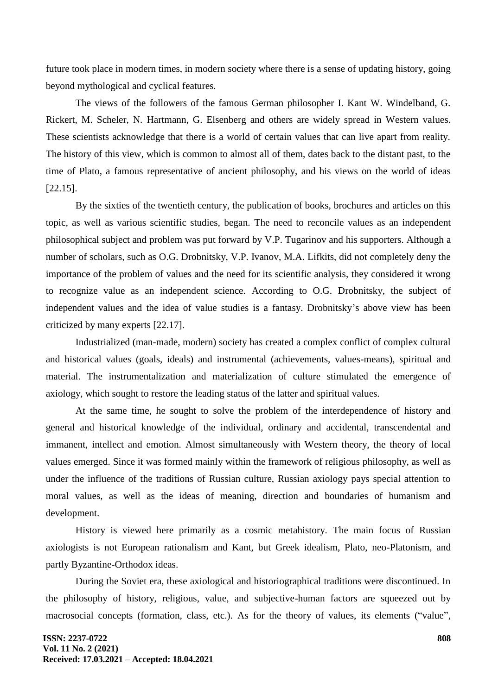future took place in modern times, in modern society where there is a sense of updating history, going beyond mythological and cyclical features.

The views of the followers of the famous German philosopher I. Kant W. Windelband, G. Rickert, M. Scheler, N. Hartmann, G. Elsenberg and others are widely spread in Western values. These scientists acknowledge that there is a world of certain values that can live apart from reality. The history of this view, which is common to almost all of them, dates back to the distant past, to the time of Plato, a famous representative of ancient philosophy, and his views on the world of ideas [22.15].

By the sixties of the twentieth century, the publication of books, brochures and articles on this topic, as well as various scientific studies, began. The need to reconcile values as an independent philosophical subject and problem was put forward by V.P. Tugarinov and his supporters. Although a number of scholars, such as O.G. Drobnitsky, V.P. Ivanov, M.A. Lifkits, did not completely deny the importance of the problem of values and the need for its scientific analysis, they considered it wrong to recognize value as an independent science. According to O.G. Drobnitsky, the subject of independent values and the idea of value studies is a fantasy. Drobnitsky's above view has been criticized by many experts [22.17].

Industrialized (man-made, modern) society has created a complex conflict of complex cultural and historical values (goals, ideals) and instrumental (achievements, values-means), spiritual and material. The instrumentalization and materialization of culture stimulated the emergence of axiology, which sought to restore the leading status of the latter and spiritual values.

At the same time, he sought to solve the problem of the interdependence of history and general and historical knowledge of the individual, ordinary and accidental, transcendental and immanent, intellect and emotion. Almost simultaneously with Western theory, the theory of local values emerged. Since it was formed mainly within the framework of religious philosophy, as well as under the influence of the traditions of Russian culture, Russian axiology pays special attention to moral values, as well as the ideas of meaning, direction and boundaries of humanism and development.

History is viewed here primarily as a cosmic metahistory. The main focus of Russian axiologists is not European rationalism and Kant, but Greek idealism, Plato, neo-Platonism, and partly Byzantine-Orthodox ideas.

During the Soviet era, these axiological and historiographical traditions were discontinued. In the philosophy of history, religious, value, and subjective-human factors are squeezed out by macrosocial concepts (formation, class, etc.). As for the theory of values, its elements ("value",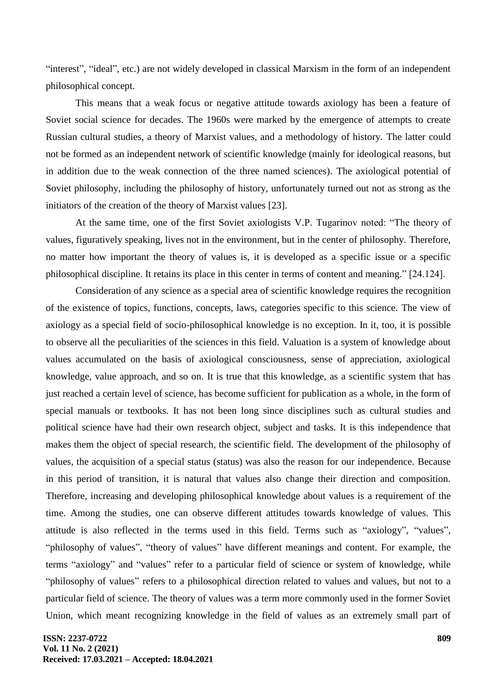"interest", "ideal", etc.) are not widely developed in classical Marxism in the form of an independent philosophical concept.

This means that a weak focus or negative attitude towards axiology has been a feature of Soviet social science for decades. The 1960s were marked by the emergence of attempts to create Russian cultural studies, a theory of Marxist values, and a methodology of history. The latter could not be formed as an independent network of scientific knowledge (mainly for ideological reasons, but in addition due to the weak connection of the three named sciences). The axiological potential of Soviet philosophy, including the philosophy of history, unfortunately turned out not as strong as the initiators of the creation of the theory of Marxist values [23].

At the same time, one of the first Soviet axiologists V.P. Tugarinov noted: "The theory of values, figuratively speaking, lives not in the environment, but in the center of philosophy. Therefore, no matter how important the theory of values is, it is developed as a specific issue or a specific philosophical discipline. It retains its place in this center in terms of content and meaning." [24.124].

Consideration of any science as a special area of scientific knowledge requires the recognition of the existence of topics, functions, concepts, laws, categories specific to this science. The view of axiology as a special field of socio-philosophical knowledge is no exception. In it, too, it is possible to observe all the peculiarities of the sciences in this field. Valuation is a system of knowledge about values accumulated on the basis of axiological consciousness, sense of appreciation, axiological knowledge, value approach, and so on. It is true that this knowledge, as a scientific system that has just reached a certain level of science, has become sufficient for publication as a whole, in the form of special manuals or textbooks. It has not been long since disciplines such as cultural studies and political science have had their own research object, subject and tasks. It is this independence that makes them the object of special research, the scientific field. The development of the philosophy of values, the acquisition of a special status (status) was also the reason for our independence. Because in this period of transition, it is natural that values also change their direction and composition. Therefore, increasing and developing philosophical knowledge about values is a requirement of the time. Among the studies, one can observe different attitudes towards knowledge of values. This attitude is also reflected in the terms used in this field. Terms such as "axiology", "values", "philosophy of values", "theory of values" have different meanings and content. For example, the terms "axiology" and "values" refer to a particular field of science or system of knowledge, while "philosophy of values" refers to a philosophical direction related to values and values, but not to a particular field of science. The theory of values was a term more commonly used in the former Soviet Union, which meant recognizing knowledge in the field of values as an extremely small part of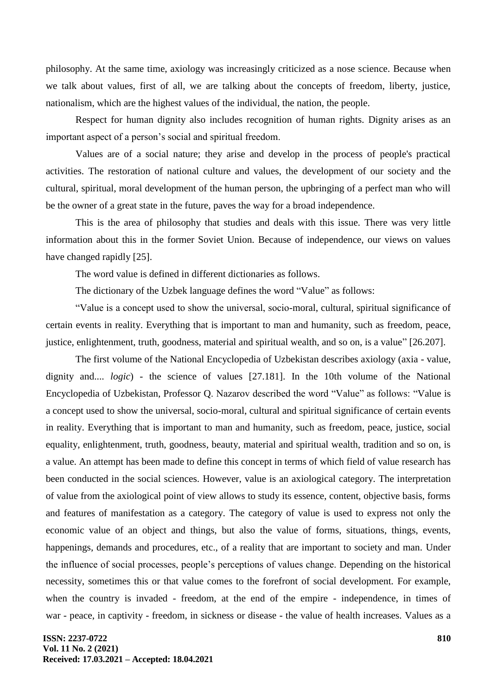philosophy. At the same time, axiology was increasingly criticized as a nose science. Because when we talk about values, first of all, we are talking about the concepts of freedom, liberty, justice, nationalism, which are the highest values of the individual, the nation, the people.

Respect for human dignity also includes recognition of human rights. Dignity arises as an important aspect of a person's social and spiritual freedom.

Values are of a social nature; they arise and develop in the process of people's practical activities. The restoration of national culture and values, the development of our society and the cultural, spiritual, moral development of the human person, the upbringing of a perfect man who will be the owner of a great state in the future, paves the way for a broad independence.

This is the area of philosophy that studies and deals with this issue. There was very little information about this in the former Soviet Union. Because of independence, our views on values have changed rapidly [25].

The word value is defined in different dictionaries as follows.

The dictionary of the Uzbek language defines the word "Value" as follows:

"Value is a concept used to show the universal, socio-moral, cultural, spiritual significance of certain events in reality. Everything that is important to man and humanity, such as freedom, peace, justice, enlightenment, truth, goodness, material and spiritual wealth, and so on, is a value" [26.207].

The first volume of the National Encyclopedia of Uzbekistan describes axiology (axia - value, dignity and.... *logic*) - the science of values [27.181]. In the 10th volume of the National Encyclopedia of Uzbekistan, Professor Q. Nazarov described the word "Value" as follows: "Value is a concept used to show the universal, socio-moral, cultural and spiritual significance of certain events in reality. Everything that is important to man and humanity, such as freedom, peace, justice, social equality, enlightenment, truth, goodness, beauty, material and spiritual wealth, tradition and so on, is a value. An attempt has been made to define this concept in terms of which field of value research has been conducted in the social sciences. However, value is an axiological category. The interpretation of value from the axiological point of view allows to study its essence, content, objective basis, forms and features of manifestation as a category. The category of value is used to express not only the economic value of an object and things, but also the value of forms, situations, things, events, happenings, demands and procedures, etc., of a reality that are important to society and man. Under the influence of social processes, people's perceptions of values change. Depending on the historical necessity, sometimes this or that value comes to the forefront of social development. For example, when the country is invaded - freedom, at the end of the empire - independence, in times of war - peace, in captivity - freedom, in sickness or disease - the value of health increases. Values as a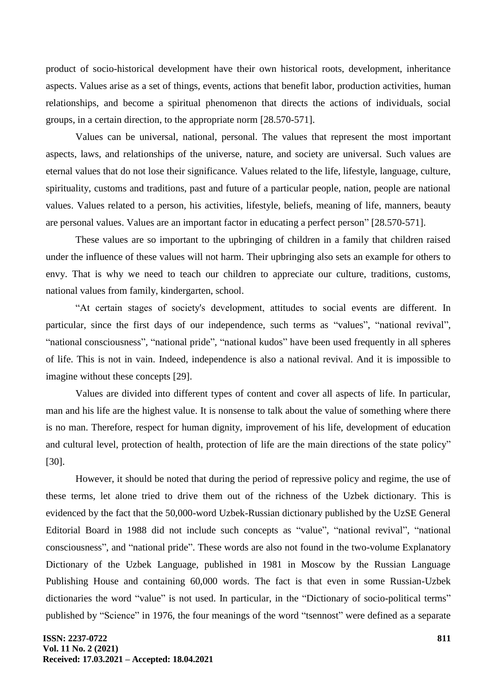product of socio-historical development have their own historical roots, development, inheritance aspects. Values arise as a set of things, events, actions that benefit labor, production activities, human relationships, and become a spiritual phenomenon that directs the actions of individuals, social groups, in a certain direction, to the appropriate norm [28.570-571].

Values can be universal, national, personal. The values that represent the most important aspects, laws, and relationships of the universe, nature, and society are universal. Such values are eternal values that do not lose their significance. Values related to the life, lifestyle, language, culture, spirituality, customs and traditions, past and future of a particular people, nation, people are national values. Values related to a person, his activities, lifestyle, beliefs, meaning of life, manners, beauty are personal values. Values are an important factor in educating a perfect person" [28.570-571].

These values are so important to the upbringing of children in a family that children raised under the influence of these values will not harm. Their upbringing also sets an example for others to envy. That is why we need to teach our children to appreciate our culture, traditions, customs, national values from family, kindergarten, school.

"At certain stages of society's development, attitudes to social events are different. In particular, since the first days of our independence, such terms as "values", "national revival", "national consciousness", "national pride", "national kudos" have been used frequently in all spheres of life. This is not in vain. Indeed, independence is also a national revival. And it is impossible to imagine without these concepts [29].

Values are divided into different types of content and cover all aspects of life. In particular, man and his life are the highest value. It is nonsense to talk about the value of something where there is no man. Therefore, respect for human dignity, improvement of his life, development of education and cultural level, protection of health, protection of life are the main directions of the state policy" [30].

However, it should be noted that during the period of repressive policy and regime, the use of these terms, let alone tried to drive them out of the richness of the Uzbek dictionary. This is evidenced by the fact that the 50,000-word Uzbek-Russian dictionary published by the UzSE General Editorial Board in 1988 did not include such concepts as "value", "national revival", "national consciousness", and "national pride". These words are also not found in the two-volume Explanatory Dictionary of the Uzbek Language, published in 1981 in Moscow by the Russian Language Publishing House and containing 60,000 words. The fact is that even in some Russian-Uzbek dictionaries the word "value" is not used. In particular, in the "Dictionary of socio-political terms" published by "Science" in 1976, the four meanings of the word "tsennost" were defined as a separate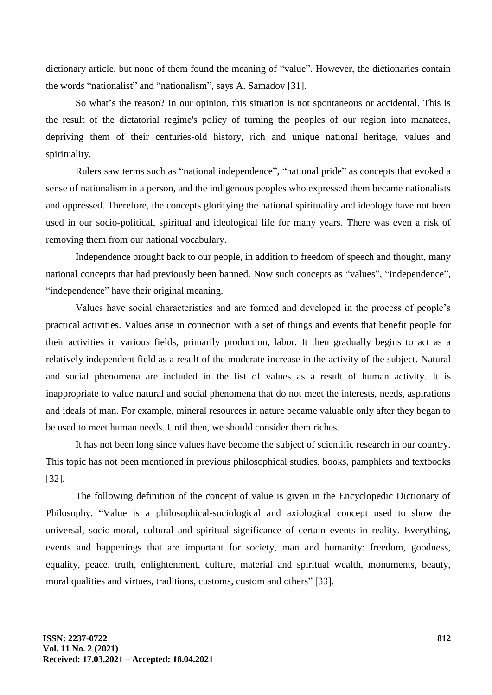dictionary article, but none of them found the meaning of "value". However, the dictionaries contain the words "nationalist" and "nationalism", says A. Samadov [31].

So what's the reason? In our opinion, this situation is not spontaneous or accidental. This is the result of the dictatorial regime's policy of turning the peoples of our region into manatees, depriving them of their centuries-old history, rich and unique national heritage, values and spirituality.

Rulers saw terms such as "national independence", "national pride" as concepts that evoked a sense of nationalism in a person, and the indigenous peoples who expressed them became nationalists and oppressed. Therefore, the concepts glorifying the national spirituality and ideology have not been used in our socio-political, spiritual and ideological life for many years. There was even a risk of removing them from our national vocabulary.

Independence brought back to our people, in addition to freedom of speech and thought, many national concepts that had previously been banned. Now such concepts as "values", "independence", "independence" have their original meaning.

Values have social characteristics and are formed and developed in the process of people's practical activities. Values arise in connection with a set of things and events that benefit people for their activities in various fields, primarily production, labor. It then gradually begins to act as a relatively independent field as a result of the moderate increase in the activity of the subject. Natural and social phenomena are included in the list of values as a result of human activity. It is inappropriate to value natural and social phenomena that do not meet the interests, needs, aspirations and ideals of man. For example, mineral resources in nature became valuable only after they began to be used to meet human needs. Until then, we should consider them riches.

It has not been long since values have become the subject of scientific research in our country. This topic has not been mentioned in previous philosophical studies, books, pamphlets and textbooks [32].

The following definition of the concept of value is given in the Encyclopedic Dictionary of Philosophy. "Value is a philosophical-sociological and axiological concept used to show the universal, socio-moral, cultural and spiritual significance of certain events in reality. Everything, events and happenings that are important for society, man and humanity: freedom, goodness, equality, peace, truth, enlightenment, culture, material and spiritual wealth, monuments, beauty, moral qualities and virtues, traditions, customs, custom and others" [33].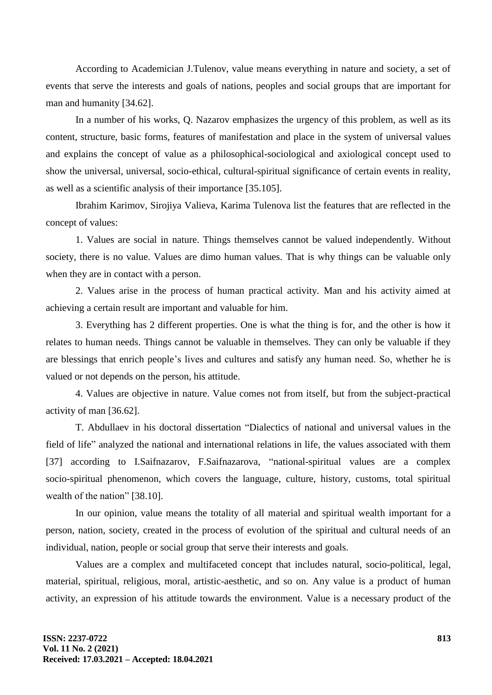According to Academician J.Tulenov, value means everything in nature and society, a set of events that serve the interests and goals of nations, peoples and social groups that are important for man and humanity [34.62].

In a number of his works, Q. Nazarov emphasizes the urgency of this problem, as well as its content, structure, basic forms, features of manifestation and place in the system of universal values and explains the concept of value as a philosophical-sociological and axiological concept used to show the universal, universal, socio-ethical, cultural-spiritual significance of certain events in reality, as well as a scientific analysis of their importance [35.105].

Ibrahim Karimov, Sirojiya Valieva, Karima Tulenova list the features that are reflected in the concept of values:

1. Values are social in nature. Things themselves cannot be valued independently. Without society, there is no value. Values are dimo human values. That is why things can be valuable only when they are in contact with a person.

2. Values arise in the process of human practical activity. Man and his activity aimed at achieving a certain result are important and valuable for him.

3. Everything has 2 different properties. One is what the thing is for, and the other is how it relates to human needs. Things cannot be valuable in themselves. They can only be valuable if they are blessings that enrich people's lives and cultures and satisfy any human need. So, whether he is valued or not depends on the person, his attitude.

4. Values are objective in nature. Value comes not from itself, but from the subject-practical activity of man [36.62].

T. Abdullaev in his doctoral dissertation "Dialectics of national and universal values in the field of life" analyzed the national and international relations in life, the values associated with them [37] according to I.Saifnazarov, F.Saifnazarova, "national-spiritual values are a complex socio-spiritual phenomenon, which covers the language, culture, history, customs, total spiritual wealth of the nation" [38.10].

In our opinion, value means the totality of all material and spiritual wealth important for a person, nation, society, created in the process of evolution of the spiritual and cultural needs of an individual, nation, people or social group that serve their interests and goals.

Values are a complex and multifaceted concept that includes natural, socio-political, legal, material, spiritual, religious, moral, artistic-aesthetic, and so on. Any value is a product of human activity, an expression of his attitude towards the environment. Value is a necessary product of the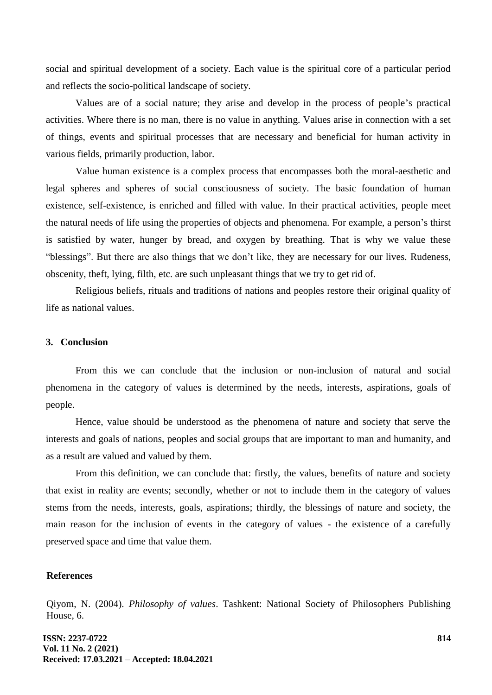social and spiritual development of a society. Each value is the spiritual core of a particular period and reflects the socio-political landscape of society.

Values are of a social nature; they arise and develop in the process of people's practical activities. Where there is no man, there is no value in anything. Values arise in connection with a set of things, events and spiritual processes that are necessary and beneficial for human activity in various fields, primarily production, labor.

Value human existence is a complex process that encompasses both the moral-aesthetic and legal spheres and spheres of social consciousness of society. The basic foundation of human existence, self-existence, is enriched and filled with value. In their practical activities, people meet the natural needs of life using the properties of objects and phenomena. For example, a person's thirst is satisfied by water, hunger by bread, and oxygen by breathing. That is why we value these "blessings". But there are also things that we don't like, they are necessary for our lives. Rudeness, obscenity, theft, lying, filth, etc. are such unpleasant things that we try to get rid of.

Religious beliefs, rituals and traditions of nations and peoples restore their original quality of life as national values.

### **3. Conclusion**

From this we can conclude that the inclusion or non-inclusion of natural and social phenomena in the category of values is determined by the needs, interests, aspirations, goals of people.

Hence, value should be understood as the phenomena of nature and society that serve the interests and goals of nations, peoples and social groups that are important to man and humanity, and as a result are valued and valued by them.

From this definition, we can conclude that: firstly, the values, benefits of nature and society that exist in reality are events; secondly, whether or not to include them in the category of values stems from the needs, interests, goals, aspirations; thirdly, the blessings of nature and society, the main reason for the inclusion of events in the category of values - the existence of a carefully preserved space and time that value them.

#### **References**

Qiyom, N. (2004). *Philosophy of values*. Tashkent: National Society of Philosophers Publishing House, 6.

**ISSN: 2237-0722 Vol. 11 No. 2 (2021) Received: 17.03.2021 – Accepted: 18.04.2021**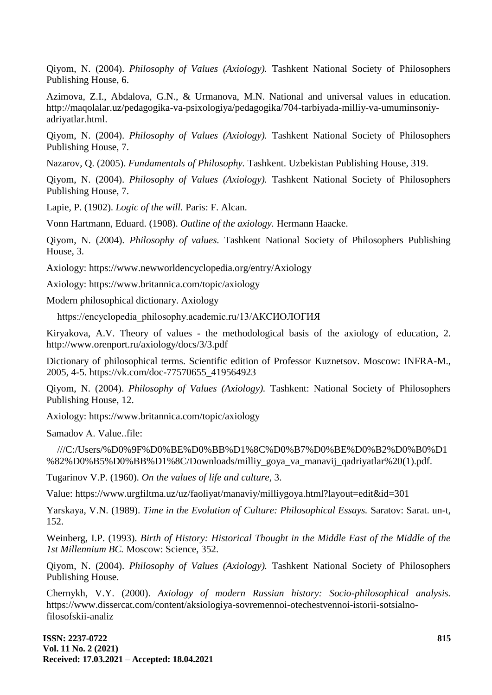Qiyom, N. (2004). *Philosophy of Values (Axiology).* Tashkent National Society of Philosophers Publishing House, 6.

Azimova, Z.I., Abdalova, G.N., & Urmanova, M.N. National and universal values in education. http://maqolalar.uz/pedagogika-va-psixologiya/pedagogika/704-tarbiyada-milliy-va-umuminsoniyadriyatlar.html.

Qiyom, N. (2004). *Philosophy of Values (Axiology).* Tashkent National Society of Philosophers Publishing House, 7.

Nazarov, Q. (2005). *Fundamentals of Philosophy.* Tashkent. Uzbekistan Publishing House, 319.

Qiyom, N. (2004). *Philosophy of Values (Axiology).* Tashkent National Society of Philosophers Publishing House, 7.

Lapie, P. (1902). *Logic of the will.* Paris: F. Alcan.

Vonn Hartmann, Eduard. (1908). *Outline of the axiology.* Hermann Haacke.

Qiyom, N. (2004). *Philosophy of values.* Tashkent National Society of Philosophers Publishing House, 3.

Axiology: <https://www.newworldencyclopedia.org/entry/Axiology>

Axiology: <https://www.britannica.com/topic/axiology>

Modern philosophical dictionary. Axiology

[https://encyclopedia\\_philosophy.academic.ru/13/АКСИОЛОГИЯ](https://encyclopedia_philosophy.academic.ru/13/АКСИОЛОГИЯ)

Kiryakova, A.V. Theory of values - the methodological basis of the axiology of education, 2. <http://www.orenport.ru/axiology/docs/3/3.pdf>

Dictionary of philosophical terms. Scientific edition of Professor Kuznetsov. Moscow: INFRA-M., 2005, 4-5. [https://vk.com/doc-77570655\\_419564923](https://vk.com/doc-77570655_419564923)

Qiyom, N. (2004). *Philosophy of Values (Axiology).* Tashkent: National Society of Philosophers Publishing House, 12.

Axiology: https://www.britannica.com/topic/axiology

Samadov А. Value..file:

///C:/Users/%D0%9F%D0%BE%D0%BB%D1%8C%D0%B7%D0%BE%D0%B2%D0%B0%D1 %82%D0%B5%D0%BB%D1%8C/Downloads/milliy\_goya\_va\_manavij\_qadriyatlar%20(1).pdf.

Tugarinov V.P. (1960). *On the values of life and culture*, 3.

Value: https://www.urgfiltma.uz/uz/faoliyat/manaviy/milliygoya.html?layout=edit&id=301

Yarskaya, V.N. (1989). *Time in the Evolution of Culture: Philosophical Essays.* Saratov: Sarat. un-t, 152.

Weinberg, I.P. (1993). *Birth of History: Historical Thought in the Middle East of the Middle of the 1st Millennium BC.* Moscow: Science, 352.

Qiyom, N. (2004). *Philosophy of Values (Axiology).* Tashkent National Society of Philosophers Publishing House.

Chernykh, V.Y. (2000). *Axiology of modern Russian history: Socio-philosophical analysis.* https://www.dissercat.com/content/aksiologiya-sovremennoi-otechestvennoi-istorii-sotsialnofilosofskii-analiz

**ISSN: 2237-0722 Vol. 11 No. 2 (2021) Received: 17.03.2021 – Accepted: 18.04.2021**